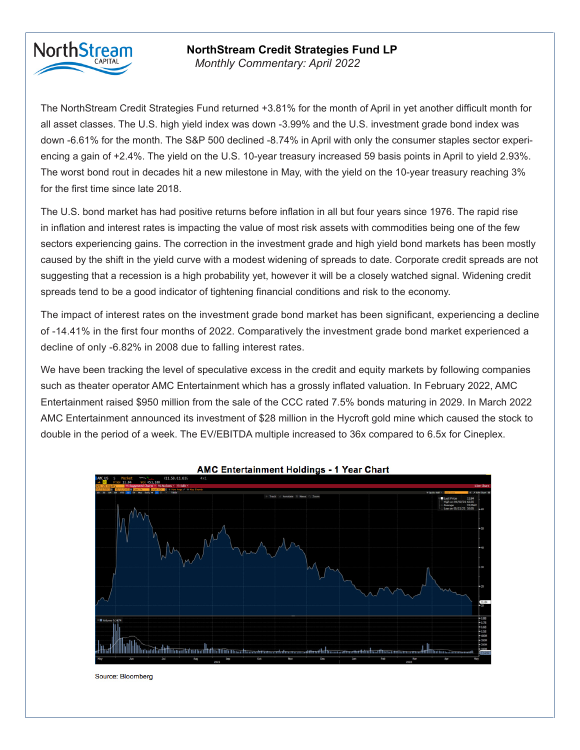## **NorthStream**

## **NorthStream Credit Strategies Fund LP**

*Monthly Commentary: September 2019 Monthly Commentary: April 2022*

The NorthStream Credit Strategies Fund returned 0.86% for the month of September, as we continued to The NorthStream Credit Strategies Fund returned +3.81% for the month of April in yet another difficult month for all asset classes. The U.S. high yield index was down -3.99% and the U.S. investment grade bond index was down -6.61% for the month. The S&P 500 declined -8.74% in April with only the consumer staples sector experiencing a gain of +2.4%. The yield on the U.S. 10-year treasury increased 59 basis points in April to yield 2.93%. The worst bond rout in decades hit a new milestone in May, with the yield on the 10-year treasury reaching 3% for the first time since late 2018.

to three BB-rated names that reached our price targets. These positions were trading at large premiums to The U.S. bond market has had positive returns before inflation in all but four years since 1976. The rapid rise in inflation and interest rates is impacting the value of most risk assets with commodities being one of the few Our portfolio positioning has the flexibility to take advantage of market opportunities. Currently, we have caused by the shift in the yield curve with a modest widening of spreads to date. Corporate credit spreads are not suggesting that a recession is a high probability yet, however it will be a closely watched signal. Widening credit spreads tend to be a good indicator of tightening financial conditions and risk to the economy. sectors experiencing gains. The correction in the investment grade and high yield bond markets has been mostly

The impact of interest rates on the investment grade bond market has been significant, experiencing a decline  $\overline{\phantom{a}}$  by ratings by rating  $\overline{\phantom{a}}$  BBs, 39% B, 39% B, 17% CCC, and 16%  $\overline{\phantom{a}}$ decline of only -6.82% in 2008 due to falling interest rates. of -14.41% in the first four months of 2022. Comparatively the investment grade bond market experienced a

We have been tracking the level of speculative excess in the credit and equity markets by following companies such as theater operator AMC Entertainment which has a grossly inflated valuation. In February 2022, AMC Entertainment raised \$950 million from the sale of the CCC rated 7.5% bonds maturing in 2029. In March 2022 AMC Entertainment announced its investment of \$28 million in the Hycroft gold mine which caused the stock to double in the period of a week. The EV/EBITDA multiple increased to 36x compared to 6.5x for Cineplex.



**AMC Entertainment Holdings - 1 Year Chart** 

Source: Bloomberg